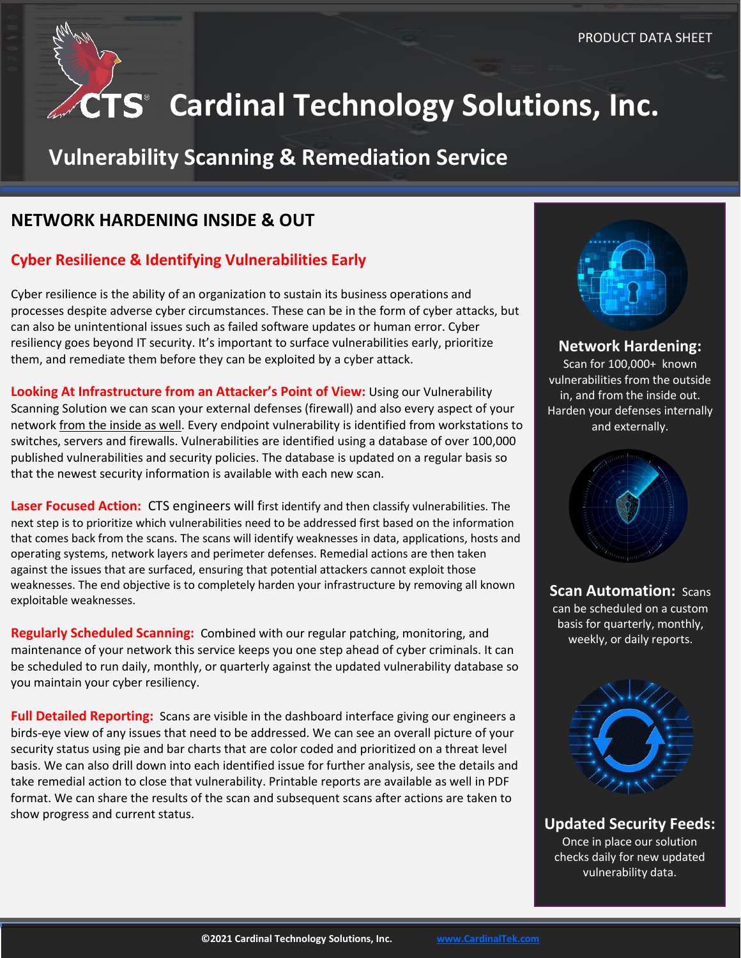

# **CTS** Cardinal Technology Solutions, Inc.

## **Vulnerability Scanning & Remediation Service**

### **NETWORK HARDENING INSIDE & OUT**

#### **Cyber Resilience & Identifying Vulnerabilities Early**

Cyber resilience is the ability of an organization to sustain its business operations and processes despite adverse cyber circumstances. These can be in the form of cyber attacks, but can also be unintentional issues such as failed software updates or human error. Cyber resiliency goes beyond IT security. It's important to surface vulnerabilities early, prioritize them, and remediate them before they can be exploited by a cyber attack.

**Looking At Infrastructure from an Attacker's Point of View:** Using our Vulnerability Scanning Solution we can scan your external defenses (firewall) and also every aspect of your network from the inside as well. Every endpoint vulnerability is identified from workstations to switches, servers and firewalls. Vulnerabilities are identified using a database of over 100,000 published vulnerabilities and security policies. The database is updated on a regular basis so that the newest security information is available with each new scan.

**Laser Focused Action:** CTS engineers will first identify and then classify vulnerabilities. The next step is to prioritize which vulnerabilities need to be addressed first based on the information that comes back from the scans. The scans will identify weaknesses in data, applications, hosts and operating systems, network layers and perimeter defenses. Remedial actions are then taken against the issues that are surfaced, ensuring that potential attackers cannot exploit those weaknesses. The end objective is to completely harden your infrastructure by removing all known exploitable weaknesses.

**Regularly Scheduled Scanning:** Combined with our regular patching, monitoring, and maintenance of your network this service keeps you one step ahead of cyber criminals. It can be scheduled to run daily, monthly, or quarterly against the updated vulnerability database so you maintain your cyber resiliency.

**Full Detailed Reporting:** Scans are visible in the dashboard interface giving our engineers a birds-eye view of any issues that need to be addressed. We can see an overall picture of your security status using pie and bar charts that are color coded and prioritized on a threat level basis. We can also drill down into each identified issue for further analysis, see the details and take remedial action to close that vulnerability. Printable reports are available as well in PDF format. We can share the results of the scan and subsequent scans after actions are taken to show progress and current status.



**Network Hardening:** Scan for 100,000+ known vulnerabilities from the outside in, and from the inside out. Harden your defenses internally and externally.



**Scan Automation:** Scans can be scheduled on a custom basis for quarterly, monthly, weekly, or daily reports.



**Updated Security Feeds:**

Once in place our solution checks daily for new updated vulnerability data.